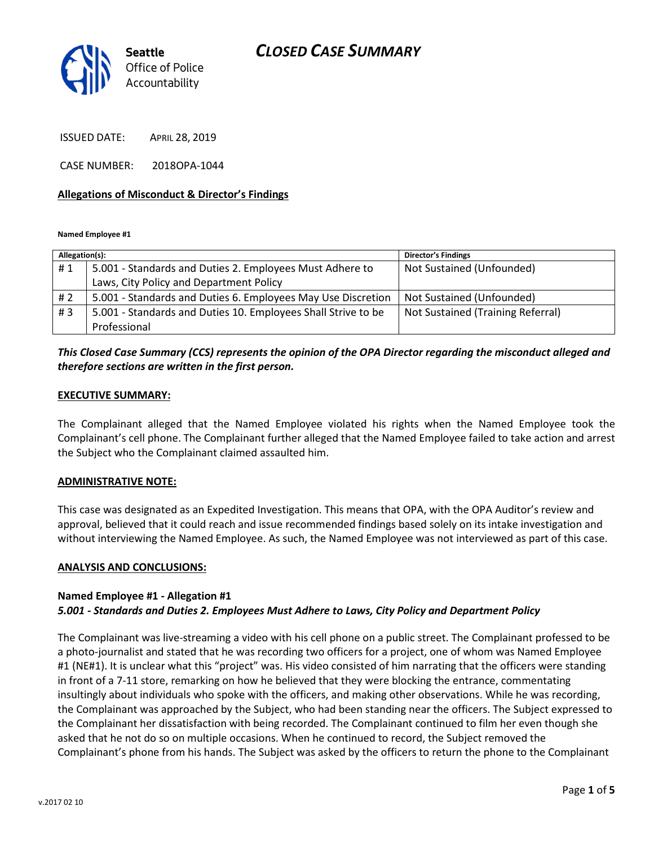

ISSUED DATE: APRIL 28, 2019

CASE NUMBER: 2018OPA-1044

#### Allegations of Misconduct & Director's Findings

Named Employee #1

| Allegation(s): |                                                               | <b>Director's Findings</b>        |
|----------------|---------------------------------------------------------------|-----------------------------------|
| #1             | 5.001 - Standards and Duties 2. Employees Must Adhere to      | Not Sustained (Unfounded)         |
|                | Laws, City Policy and Department Policy                       |                                   |
| # 2            | 5.001 - Standards and Duties 6. Employees May Use Discretion  | Not Sustained (Unfounded)         |
| #3             | 5.001 - Standards and Duties 10. Employees Shall Strive to be | Not Sustained (Training Referral) |
|                | Professional                                                  |                                   |

#### This Closed Case Summary (CCS) represents the opinion of the OPA Director regarding the misconduct alleged and therefore sections are written in the first person.

#### EXECUTIVE SUMMARY:

The Complainant alleged that the Named Employee violated his rights when the Named Employee took the Complainant's cell phone. The Complainant further alleged that the Named Employee failed to take action and arrest the Subject who the Complainant claimed assaulted him.

#### ADMINISTRATIVE NOTE:

This case was designated as an Expedited Investigation. This means that OPA, with the OPA Auditor's review and approval, believed that it could reach and issue recommended findings based solely on its intake investigation and without interviewing the Named Employee. As such, the Named Employee was not interviewed as part of this case.

#### ANALYSIS AND CONCLUSIONS:

#### Named Employee #1 - Allegation #1 5.001 - Standards and Duties 2. Employees Must Adhere to Laws, City Policy and Department Policy

The Complainant was live-streaming a video with his cell phone on a public street. The Complainant professed to be a photo-journalist and stated that he was recording two officers for a project, one of whom was Named Employee #1 (NE#1). It is unclear what this "project" was. His video consisted of him narrating that the officers were standing in front of a 7-11 store, remarking on how he believed that they were blocking the entrance, commentating insultingly about individuals who spoke with the officers, and making other observations. While he was recording, the Complainant was approached by the Subject, who had been standing near the officers. The Subject expressed to the Complainant her dissatisfaction with being recorded. The Complainant continued to film her even though she asked that he not do so on multiple occasions. When he continued to record, the Subject removed the Complainant's phone from his hands. The Subject was asked by the officers to return the phone to the Complainant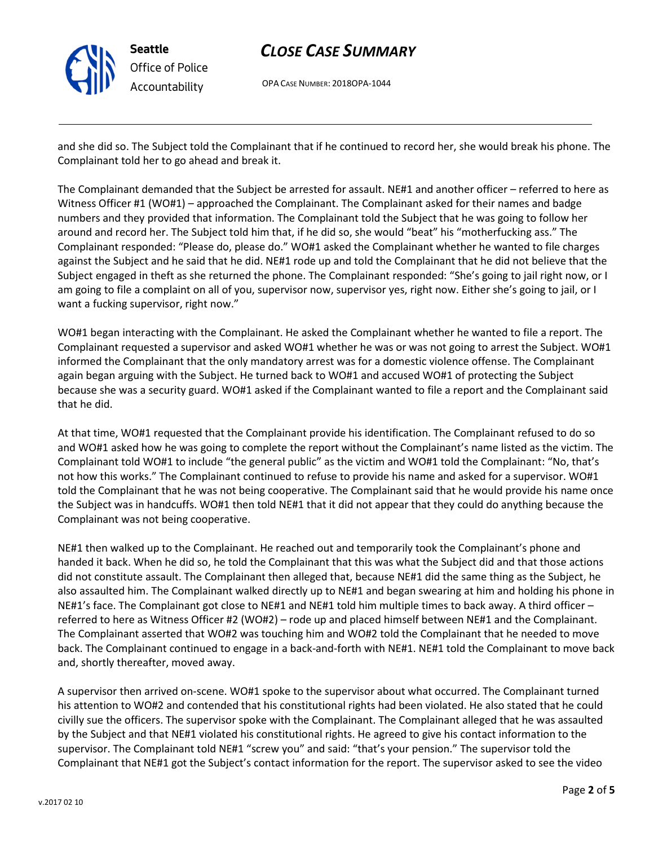

## CLOSE CASE SUMMARY

OPA CASE NUMBER: 2018OPA-1044

and she did so. The Subject told the Complainant that if he continued to record her, she would break his phone. The Complainant told her to go ahead and break it.

The Complainant demanded that the Subject be arrested for assault. NE#1 and another officer – referred to here as Witness Officer #1 (WO#1) – approached the Complainant. The Complainant asked for their names and badge numbers and they provided that information. The Complainant told the Subject that he was going to follow her around and record her. The Subject told him that, if he did so, she would "beat" his "motherfucking ass." The Complainant responded: "Please do, please do." WO#1 asked the Complainant whether he wanted to file charges against the Subject and he said that he did. NE#1 rode up and told the Complainant that he did not believe that the Subject engaged in theft as she returned the phone. The Complainant responded: "She's going to jail right now, or I am going to file a complaint on all of you, supervisor now, supervisor yes, right now. Either she's going to jail, or I want a fucking supervisor, right now."

WO#1 began interacting with the Complainant. He asked the Complainant whether he wanted to file a report. The Complainant requested a supervisor and asked WO#1 whether he was or was not going to arrest the Subject. WO#1 informed the Complainant that the only mandatory arrest was for a domestic violence offense. The Complainant again began arguing with the Subject. He turned back to WO#1 and accused WO#1 of protecting the Subject because she was a security guard. WO#1 asked if the Complainant wanted to file a report and the Complainant said that he did.

At that time, WO#1 requested that the Complainant provide his identification. The Complainant refused to do so and WO#1 asked how he was going to complete the report without the Complainant's name listed as the victim. The Complainant told WO#1 to include "the general public" as the victim and WO#1 told the Complainant: "No, that's not how this works." The Complainant continued to refuse to provide his name and asked for a supervisor. WO#1 told the Complainant that he was not being cooperative. The Complainant said that he would provide his name once the Subject was in handcuffs. WO#1 then told NE#1 that it did not appear that they could do anything because the Complainant was not being cooperative.

NE#1 then walked up to the Complainant. He reached out and temporarily took the Complainant's phone and handed it back. When he did so, he told the Complainant that this was what the Subject did and that those actions did not constitute assault. The Complainant then alleged that, because NE#1 did the same thing as the Subject, he also assaulted him. The Complainant walked directly up to NE#1 and began swearing at him and holding his phone in NE#1's face. The Complainant got close to NE#1 and NE#1 told him multiple times to back away. A third officer – referred to here as Witness Officer #2 (WO#2) – rode up and placed himself between NE#1 and the Complainant. The Complainant asserted that WO#2 was touching him and WO#2 told the Complainant that he needed to move back. The Complainant continued to engage in a back-and-forth with NE#1. NE#1 told the Complainant to move back and, shortly thereafter, moved away.

A supervisor then arrived on-scene. WO#1 spoke to the supervisor about what occurred. The Complainant turned his attention to WO#2 and contended that his constitutional rights had been violated. He also stated that he could civilly sue the officers. The supervisor spoke with the Complainant. The Complainant alleged that he was assaulted by the Subject and that NE#1 violated his constitutional rights. He agreed to give his contact information to the supervisor. The Complainant told NE#1 "screw you" and said: "that's your pension." The supervisor told the Complainant that NE#1 got the Subject's contact information for the report. The supervisor asked to see the video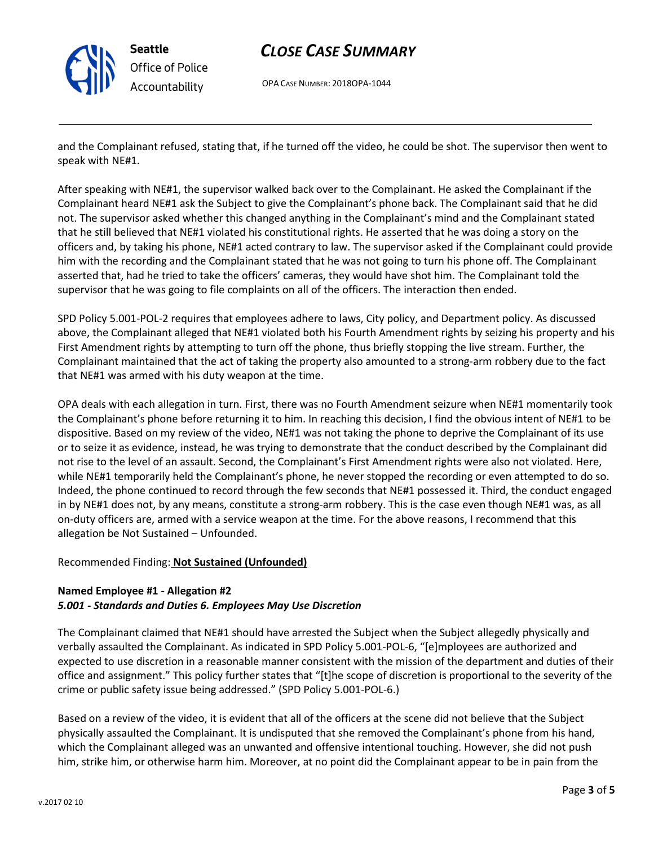

Seattle Office of Police Accountability

## CLOSE CASE SUMMARY

OPA CASE NUMBER: 2018OPA-1044

and the Complainant refused, stating that, if he turned off the video, he could be shot. The supervisor then went to speak with NE#1.

After speaking with NE#1, the supervisor walked back over to the Complainant. He asked the Complainant if the Complainant heard NE#1 ask the Subject to give the Complainant's phone back. The Complainant said that he did not. The supervisor asked whether this changed anything in the Complainant's mind and the Complainant stated that he still believed that NE#1 violated his constitutional rights. He asserted that he was doing a story on the officers and, by taking his phone, NE#1 acted contrary to law. The supervisor asked if the Complainant could provide him with the recording and the Complainant stated that he was not going to turn his phone off. The Complainant asserted that, had he tried to take the officers' cameras, they would have shot him. The Complainant told the supervisor that he was going to file complaints on all of the officers. The interaction then ended.

SPD Policy 5.001-POL-2 requires that employees adhere to laws, City policy, and Department policy. As discussed above, the Complainant alleged that NE#1 violated both his Fourth Amendment rights by seizing his property and his First Amendment rights by attempting to turn off the phone, thus briefly stopping the live stream. Further, the Complainant maintained that the act of taking the property also amounted to a strong-arm robbery due to the fact that NE#1 was armed with his duty weapon at the time.

OPA deals with each allegation in turn. First, there was no Fourth Amendment seizure when NE#1 momentarily took the Complainant's phone before returning it to him. In reaching this decision, I find the obvious intent of NE#1 to be dispositive. Based on my review of the video, NE#1 was not taking the phone to deprive the Complainant of its use or to seize it as evidence, instead, he was trying to demonstrate that the conduct described by the Complainant did not rise to the level of an assault. Second, the Complainant's First Amendment rights were also not violated. Here, while NE#1 temporarily held the Complainant's phone, he never stopped the recording or even attempted to do so. Indeed, the phone continued to record through the few seconds that NE#1 possessed it. Third, the conduct engaged in by NE#1 does not, by any means, constitute a strong-arm robbery. This is the case even though NE#1 was, as all on-duty officers are, armed with a service weapon at the time. For the above reasons, I recommend that this allegation be Not Sustained – Unfounded.

### Recommended Finding: Not Sustained (Unfounded)

### Named Employee #1 - Allegation #2

### 5.001 - Standards and Duties 6. Employees May Use Discretion

The Complainant claimed that NE#1 should have arrested the Subject when the Subject allegedly physically and verbally assaulted the Complainant. As indicated in SPD Policy 5.001-POL-6, "[e]mployees are authorized and expected to use discretion in a reasonable manner consistent with the mission of the department and duties of their office and assignment." This policy further states that "[t]he scope of discretion is proportional to the severity of the crime or public safety issue being addressed." (SPD Policy 5.001-POL-6.)

Based on a review of the video, it is evident that all of the officers at the scene did not believe that the Subject physically assaulted the Complainant. It is undisputed that she removed the Complainant's phone from his hand, which the Complainant alleged was an unwanted and offensive intentional touching. However, she did not push him, strike him, or otherwise harm him. Moreover, at no point did the Complainant appear to be in pain from the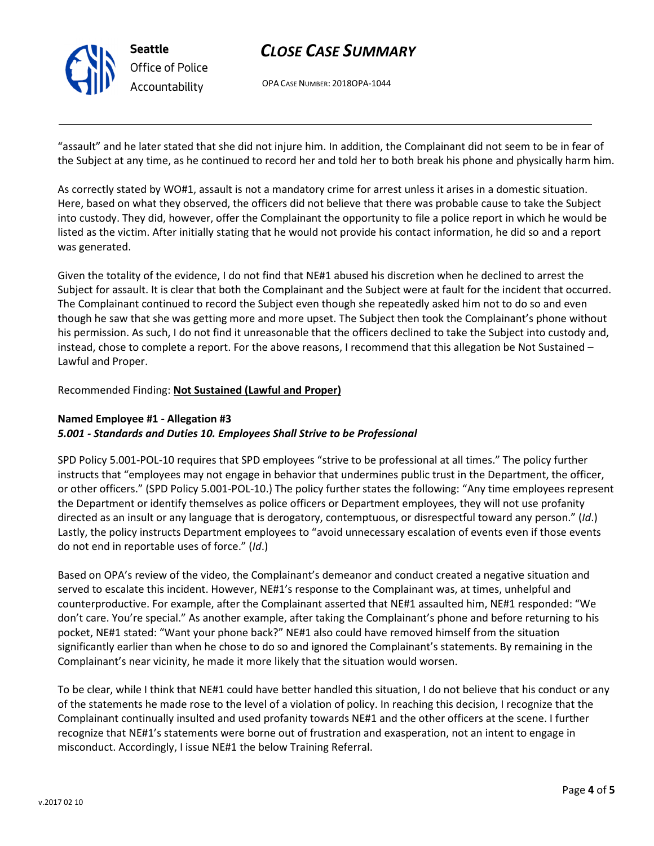

## CLOSE CASE SUMMARY

OPA CASE NUMBER: 2018OPA-1044

"assault" and he later stated that she did not injure him. In addition, the Complainant did not seem to be in fear of the Subject at any time, as he continued to record her and told her to both break his phone and physically harm him.

As correctly stated by WO#1, assault is not a mandatory crime for arrest unless it arises in a domestic situation. Here, based on what they observed, the officers did not believe that there was probable cause to take the Subject into custody. They did, however, offer the Complainant the opportunity to file a police report in which he would be listed as the victim. After initially stating that he would not provide his contact information, he did so and a report was generated.

Given the totality of the evidence, I do not find that NE#1 abused his discretion when he declined to arrest the Subject for assault. It is clear that both the Complainant and the Subject were at fault for the incident that occurred. The Complainant continued to record the Subject even though she repeatedly asked him not to do so and even though he saw that she was getting more and more upset. The Subject then took the Complainant's phone without his permission. As such, I do not find it unreasonable that the officers declined to take the Subject into custody and, instead, chose to complete a report. For the above reasons, I recommend that this allegation be Not Sustained – Lawful and Proper.

#### Recommended Finding: Not Sustained (Lawful and Proper)

#### Named Employee #1 - Allegation #3

### 5.001 - Standards and Duties 10. Employees Shall Strive to be Professional

SPD Policy 5.001-POL-10 requires that SPD employees "strive to be professional at all times." The policy further instructs that "employees may not engage in behavior that undermines public trust in the Department, the officer, or other officers." (SPD Policy 5.001-POL-10.) The policy further states the following: "Any time employees represent the Department or identify themselves as police officers or Department employees, they will not use profanity directed as an insult or any language that is derogatory, contemptuous, or disrespectful toward any person." (Id.) Lastly, the policy instructs Department employees to "avoid unnecessary escalation of events even if those events do not end in reportable uses of force." (Id.)

Based on OPA's review of the video, the Complainant's demeanor and conduct created a negative situation and served to escalate this incident. However, NE#1's response to the Complainant was, at times, unhelpful and counterproductive. For example, after the Complainant asserted that NE#1 assaulted him, NE#1 responded: "We don't care. You're special." As another example, after taking the Complainant's phone and before returning to his pocket, NE#1 stated: "Want your phone back?" NE#1 also could have removed himself from the situation significantly earlier than when he chose to do so and ignored the Complainant's statements. By remaining in the Complainant's near vicinity, he made it more likely that the situation would worsen.

To be clear, while I think that NE#1 could have better handled this situation, I do not believe that his conduct or any of the statements he made rose to the level of a violation of policy. In reaching this decision, I recognize that the Complainant continually insulted and used profanity towards NE#1 and the other officers at the scene. I further recognize that NE#1's statements were borne out of frustration and exasperation, not an intent to engage in misconduct. Accordingly, I issue NE#1 the below Training Referral.